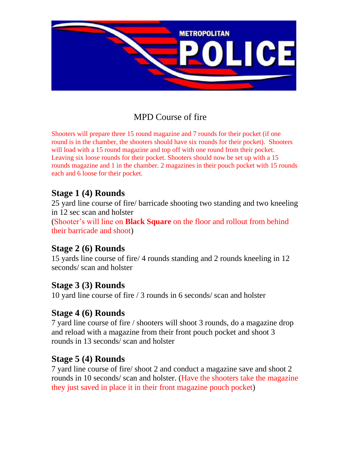

# MPD Course of fire

Shooters will prepare three 15 round magazine and 7 rounds for their pocket (if one round is in the chamber, the shooters should have six rounds for their pocket). Shooters will load with a 15 round magazine and top off with one round from their pocket. Leaving six loose rounds for their pocket. Shooters should now be set up with a 15 rounds magazine and 1 in the chamber. 2 magazines in their pouch pocket with 15 rounds each and 6 loose for their pocket.

### **Stage 1 (4) Rounds**

25 yard line course of fire/ barricade shooting two standing and two kneeling in 12 sec scan and holster (Shooter's will line on **Black Square** on the floor and rollout from behind their barricade and shoot)

### **Stage 2 (6) Rounds**

15 yards line course of fire/ 4 rounds standing and 2 rounds kneeling in 12 seconds/ scan and holster

### **Stage 3 (3) Rounds**

10 yard line course of fire / 3 rounds in 6 seconds/ scan and holster

### **Stage 4 (6) Rounds**

7 yard line course of fire / shooters will shoot 3 rounds, do a magazine drop and reload with a magazine from their front pouch pocket and shoot 3 rounds in 13 seconds/ scan and holster

### **Stage 5 (4) Rounds**

7 yard line course of fire/ shoot 2 and conduct a magazine save and shoot 2 rounds in 10 seconds/ scan and holster. (Have the shooters take the magazine they just saved in place it in their front magazine pouch pocket)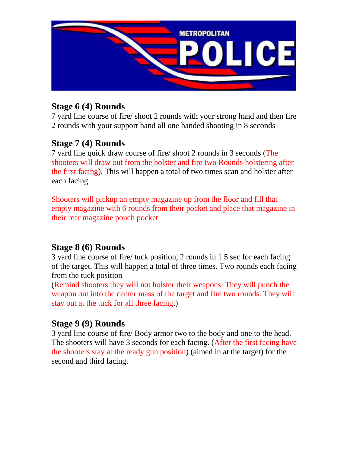

# **Stage 6 (4) Rounds**

7 yard line course of fire/ shoot 2 rounds with your strong hand and then fire 2 rounds with your support hand all one handed shooting in 8 seconds

# **Stage 7 (4) Rounds**

7 yard line quick draw course of fire/ shoot 2 rounds in 3 seconds (The shooters will draw out from the holster and fire two Rounds holstering after the first facing). This will happen a total of two times scan and holster after each facing

Shooters will pickup an empty magazine up from the floor and fill that empty magazine with 6 rounds from their pocket and place that magazine in their rear magazine pouch pocket

# **Stage 8 (6) Rounds**

3 yard line course of fire/ tuck position, 2 rounds in 1.5 sec for each facing of the target. This will happen a total of three times. Two rounds each facing from the tuck position

(Remind shooters they will not holster their weapons. They will punch the weapon out into the center mass of the target and fire two rounds. They will stay out at the tuck for all three facing.)

# **Stage 9 (9) Rounds**

3 yard line course of fire/ Body armor two to the body and one to the head. The shooters will have 3 seconds for each facing. (After the first facing have the shooters stay at the ready gun position) (aimed in at the target) for the second and third facing.